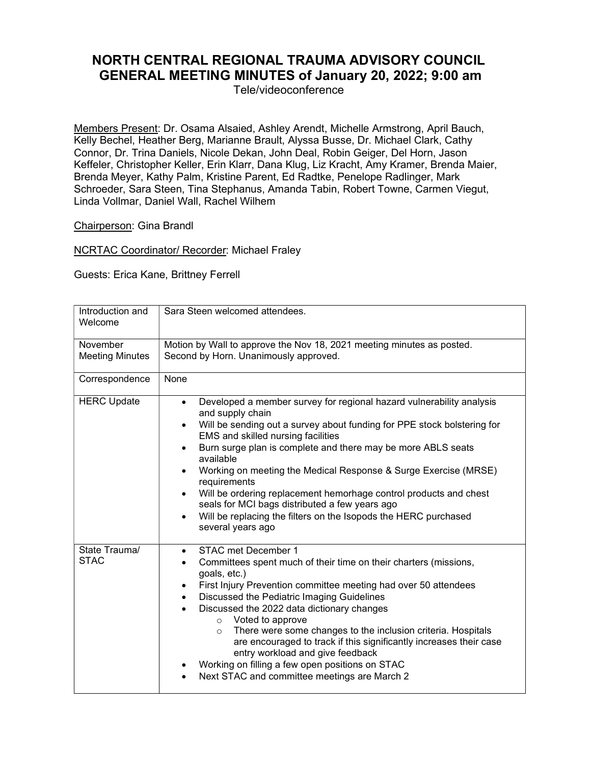## NORTH CENTRAL REGIONAL TRAUMA ADVISORY COUNCIL GENERAL MEETING MINUTES of January 20, 2022; 9:00 am

Tele/videoconference

Members Present: Dr. Osama Alsaied, Ashley Arendt, Michelle Armstrong, April Bauch, Kelly Bechel, Heather Berg, Marianne Brault, Alyssa Busse, Dr. Michael Clark, Cathy Connor, Dr. Trina Daniels, Nicole Dekan, John Deal, Robin Geiger, Del Horn, Jason Keffeler, Christopher Keller, Erin Klarr, Dana Klug, Liz Kracht, Amy Kramer, Brenda Maier, Brenda Meyer, Kathy Palm, Kristine Parent, Ed Radtke, Penelope Radlinger, Mark Schroeder, Sara Steen, Tina Stephanus, Amanda Tabin, Robert Towne, Carmen Viegut, Linda Vollmar, Daniel Wall, Rachel Wilhem

## Chairperson: Gina Brandl

NCRTAC Coordinator/ Recorder: Michael Fraley

Guests: Erica Kane, Brittney Ferrell

| Introduction and<br>Welcome        | Sara Steen welcomed attendees.                                                                                                                                                                                                                                                                                                                                                                                                                                                                                                                                                                                                                            |
|------------------------------------|-----------------------------------------------------------------------------------------------------------------------------------------------------------------------------------------------------------------------------------------------------------------------------------------------------------------------------------------------------------------------------------------------------------------------------------------------------------------------------------------------------------------------------------------------------------------------------------------------------------------------------------------------------------|
| November<br><b>Meeting Minutes</b> | Motion by Wall to approve the Nov 18, 2021 meeting minutes as posted.<br>Second by Horn. Unanimously approved.                                                                                                                                                                                                                                                                                                                                                                                                                                                                                                                                            |
| Correspondence                     | None                                                                                                                                                                                                                                                                                                                                                                                                                                                                                                                                                                                                                                                      |
| <b>HERC Update</b>                 | Developed a member survey for regional hazard vulnerability analysis<br>$\bullet$<br>and supply chain<br>Will be sending out a survey about funding for PPE stock bolstering for<br>$\bullet$<br>EMS and skilled nursing facilities<br>Burn surge plan is complete and there may be more ABLS seats<br>available<br>Working on meeting the Medical Response & Surge Exercise (MRSE)<br>$\bullet$<br>requirements<br>Will be ordering replacement hemorhage control products and chest<br>$\bullet$<br>seals for MCI bags distributed a few years ago<br>Will be replacing the filters on the Isopods the HERC purchased<br>$\bullet$<br>several years ago |
| State Trauma/<br><b>STAC</b>       | STAC met December 1<br>$\bullet$<br>Committees spent much of their time on their charters (missions,<br>goals, etc.)<br>First Injury Prevention committee meeting had over 50 attendees<br>$\bullet$<br>Discussed the Pediatric Imaging Guidelines<br>$\bullet$<br>Discussed the 2022 data dictionary changes<br>Voted to approve<br>$\circ$<br>There were some changes to the inclusion criteria. Hospitals<br>$\circ$<br>are encouraged to track if this significantly increases their case<br>entry workload and give feedback<br>Working on filling a few open positions on STAC<br>٠<br>Next STAC and committee meetings are March 2<br>$\bullet$    |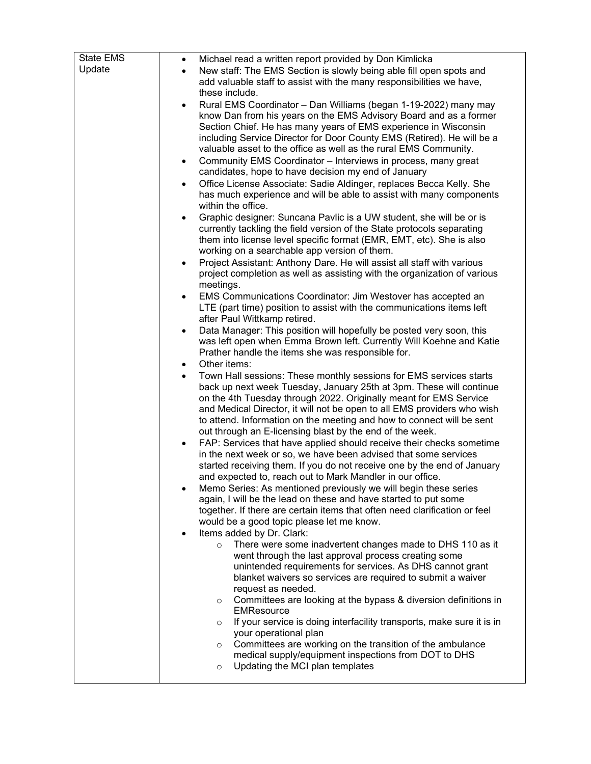| <b>State EMS</b> | Michael read a written report provided by Don Kimlicka<br>$\bullet$                 |
|------------------|-------------------------------------------------------------------------------------|
| Update           | New staff: The EMS Section is slowly being able fill open spots and<br>$\bullet$    |
|                  | add valuable staff to assist with the many responsibilities we have,                |
|                  | these include.                                                                      |
|                  | Rural EMS Coordinator - Dan Williams (began 1-19-2022) many may<br>٠                |
|                  | know Dan from his years on the EMS Advisory Board and as a former                   |
|                  | Section Chief. He has many years of EMS experience in Wisconsin                     |
|                  | including Service Director for Door County EMS (Retired). He will be a              |
|                  | valuable asset to the office as well as the rural EMS Community.                    |
|                  | Community EMS Coordinator - Interviews in process, many great<br>$\bullet$          |
|                  | candidates, hope to have decision my end of January                                 |
|                  | Office License Associate: Sadie Aldinger, replaces Becca Kelly. She<br>٠            |
|                  | has much experience and will be able to assist with many components                 |
|                  | within the office.                                                                  |
|                  | Graphic designer: Suncana Pavlic is a UW student, she will be or is                 |
|                  | currently tackling the field version of the State protocols separating              |
|                  | them into license level specific format (EMR, EMT, etc). She is also                |
|                  | working on a searchable app version of them.                                        |
|                  | Project Assistant: Anthony Dare. He will assist all staff with various<br>$\bullet$ |
|                  | project completion as well as assisting with the organization of various            |
|                  | meetings.                                                                           |
|                  | EMS Communications Coordinator: Jim Westover has accepted an<br>$\bullet$           |
|                  | LTE (part time) position to assist with the communications items left               |
|                  | after Paul Wittkamp retired.                                                        |
|                  | Data Manager: This position will hopefully be posted very soon, this<br>٠           |
|                  | was left open when Emma Brown left. Currently Will Koehne and Katie                 |
|                  | Prather handle the items she was responsible for.                                   |
|                  | Other items:<br>$\bullet$                                                           |
|                  | Town Hall sessions: These monthly sessions for EMS services starts<br>$\bullet$     |
|                  | back up next week Tuesday, January 25th at 3pm. These will continue                 |
|                  | on the 4th Tuesday through 2022. Originally meant for EMS Service                   |
|                  | and Medical Director, it will not be open to all EMS providers who wish             |
|                  | to attend. Information on the meeting and how to connect will be sent               |
|                  | out through an E-licensing blast by the end of the week.                            |
|                  | FAP: Services that have applied should receive their checks sometime                |
|                  | in the next week or so, we have been advised that some services                     |
|                  | started receiving them. If you do not receive one by the end of January             |
|                  | and expected to, reach out to Mark Mandler in our office.                           |
|                  | Memo Series: As mentioned previously we will begin these series                     |
|                  | again, I will be the lead on these and have started to put some                     |
|                  | together. If there are certain items that often need clarification or feel          |
|                  | would be a good topic please let me know.<br>Items added by Dr. Clark:              |
|                  | There were some inadvertent changes made to DHS 110 as it                           |
|                  | $\circ$<br>went through the last approval process creating some                     |
|                  | unintended requirements for services. As DHS cannot grant                           |
|                  | blanket waivers so services are required to submit a waiver                         |
|                  | request as needed.                                                                  |
|                  | Committees are looking at the bypass & diversion definitions in<br>$\circ$          |
|                  | <b>EMResource</b>                                                                   |
|                  | If your service is doing interfacility transports, make sure it is in<br>$\circ$    |
|                  | your operational plan                                                               |
|                  | Committees are working on the transition of the ambulance<br>$\circ$                |
|                  | medical supply/equipment inspections from DOT to DHS                                |
|                  | Updating the MCI plan templates<br>$\circ$                                          |
|                  |                                                                                     |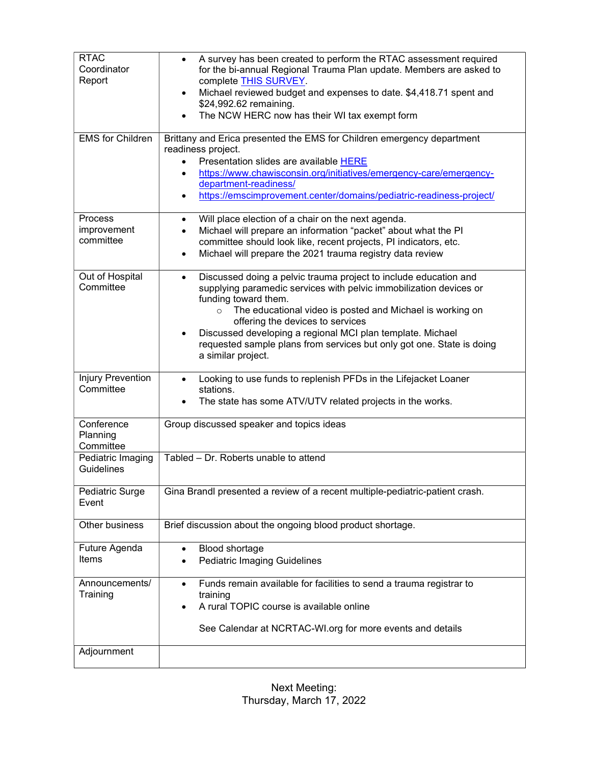| <b>RTAC</b>                           | A survey has been created to perform the RTAC assessment required<br>$\bullet$                                                                  |
|---------------------------------------|-------------------------------------------------------------------------------------------------------------------------------------------------|
| Coordinator<br>Report                 | for the bi-annual Regional Trauma Plan update. Members are asked to<br>complete THIS SURVEY.                                                    |
|                                       | Michael reviewed budget and expenses to date. \$4,418.71 spent and<br>$\bullet$                                                                 |
|                                       | \$24,992.62 remaining.<br>The NCW HERC now has their WI tax exempt form                                                                         |
|                                       |                                                                                                                                                 |
| <b>EMS</b> for Children               | Brittany and Erica presented the EMS for Children emergency department<br>readiness project.                                                    |
|                                       | Presentation slides are available HERE<br>$\bullet$                                                                                             |
|                                       | https://www.chawisconsin.org/initiatives/emergency-care/emergency-<br>$\bullet$<br>department-readiness/                                        |
|                                       | https://emscimprovement.center/domains/pediatric-readiness-project/<br>$\bullet$                                                                |
| <b>Process</b>                        | Will place election of a chair on the next agenda.<br>$\bullet$                                                                                 |
| improvement<br>committee              | Michael will prepare an information "packet" about what the PI<br>$\bullet$<br>committee should look like, recent projects, PI indicators, etc. |
|                                       | Michael will prepare the 2021 trauma registry data review<br>$\bullet$                                                                          |
| Out of Hospital                       | Discussed doing a pelvic trauma project to include education and<br>$\bullet$                                                                   |
| Committee                             | supplying paramedic services with pelvic immobilization devices or                                                                              |
|                                       | funding toward them.                                                                                                                            |
|                                       | The educational video is posted and Michael is working on<br>$\circ$<br>offering the devices to services                                        |
|                                       | Discussed developing a regional MCI plan template. Michael                                                                                      |
|                                       | requested sample plans from services but only got one. State is doing<br>a similar project.                                                     |
|                                       |                                                                                                                                                 |
| <b>Injury Prevention</b><br>Committee | Looking to use funds to replenish PFDs in the Lifejacket Loaner<br>stations.                                                                    |
|                                       | The state has some ATV/UTV related projects in the works.                                                                                       |
| Conference                            | Group discussed speaker and topics ideas                                                                                                        |
| Planning<br>Committee                 |                                                                                                                                                 |
| Pediatric Imaging                     | Tabled - Dr. Roberts unable to attend                                                                                                           |
| Guidelines                            |                                                                                                                                                 |
| Pediatric Surge                       | Gina Brandl presented a review of a recent multiple-pediatric-patient crash.                                                                    |
| Event                                 |                                                                                                                                                 |
| Other business                        | Brief discussion about the ongoing blood product shortage.                                                                                      |
| Future Agenda                         | <b>Blood shortage</b><br>$\bullet$                                                                                                              |
| Items                                 | <b>Pediatric Imaging Guidelines</b>                                                                                                             |
| Announcements/                        | Funds remain available for facilities to send a trauma registrar to<br>$\bullet$                                                                |
| Training                              | training<br>A rural TOPIC course is available online<br>$\bullet$                                                                               |
|                                       |                                                                                                                                                 |
|                                       | See Calendar at NCRTAC-WI.org for more events and details                                                                                       |
| Adjournment                           |                                                                                                                                                 |

Next Meeting: Thursday, March 17, 2022